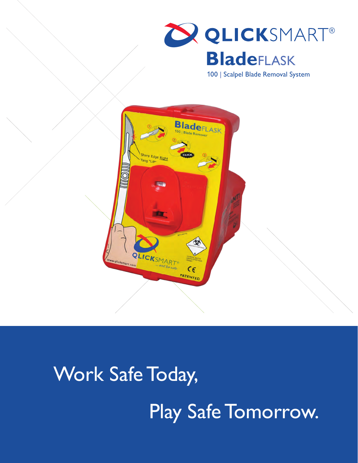

100 | Scalpel Blade Removal System



# Work Safe Today,

Play Safe Tomorrow.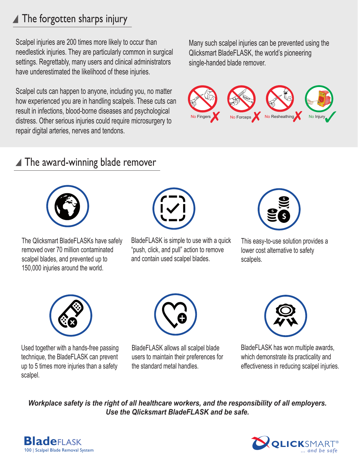### ▲ The forgotten sharps injury

Scalpel injuries are 200 times more likely to occur than needlestick injuries. They are particularly common in surgical settings. Regrettably, many users and clinical administrators have underestimated the likelihood of these injuries.

Scalpel cuts can happen to anyone, including you, no matter how experienced you are in handling scalpels. These cuts can result in infections, blood-borne diseases and psychological distress. Other serious injuries could require microsurgery to repair digital arteries, nerves and tendons.

Many such scalpel injuries can be prevented using the Qlicksmart BladeFLASK, the world's pioneering single-handed blade remover.



#### ▲ The award-winning blade remover



The Qlicksmart BladeFLASKs have safely removed over 70 million contaminated scalpel blades, and prevented up to 150,000 injuries around the world.



BladeFLASK is simple to use with a quick "push, click, and pull" action to remove and contain used scalpel blades.



This easy-to-use solution provides a lower cost alternative to safety scalpels.



Used together with a hands-free passing technique, the BladeFLASK can prevent up to 5 times more injuries than a safety scalpel.



BladeFLASK allows all scalpel blade users to maintain their preferences for the standard metal handles.



BladeFLASK has won multiple awards, which demonstrate its practicality and effectiveness in reducing scalpel injuries.

*Workplace safety is the right of all healthcare workers, and the responsibility of all employers. Use the Qlicksmart BladeFLASK and be safe.* 



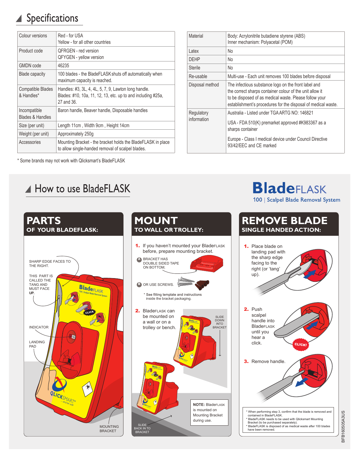### Specifications

| Colour versions                        | Red - for USA<br>Yellow - for all other countries                                                                                  |
|----------------------------------------|------------------------------------------------------------------------------------------------------------------------------------|
| Product code                           | <b>OFRGEN</b> - red version<br><b>QFYGEN</b> - yellow version                                                                      |
| <b>GMDN</b> code                       | 46235                                                                                                                              |
| <b>Blade capacity</b>                  | 100 blades - the BladeFLASK shuts off automatically when<br>maximum capacity is reached.                                           |
| <b>Compatible Blades</b><br>& Handles* | Handles: #3, 3L, 4, 4L, 5, 7, 9, Lawton long handle.<br>Blades: #10, 10a, 11, 12, 13, etc. up to and including #25a,<br>27 and 36. |
| Incompatible<br>Blades & Handles       | Baron handle, Beaver handle, Disposable handles                                                                                    |
| Size (per unit)                        | Length 11cm, Width 9cm, Height 14cm                                                                                                |
| Weight (per unit)                      | Approximately 250g                                                                                                                 |
| Accessories                            | Mounting Bracket - the bracket holds the BladeFLASK in place<br>to allow single-handed removal of scalpel blades.                  |

|  |  |  |  | * Some brands may not work with Qlicksmart's BladeFLASK |
|--|--|--|--|---------------------------------------------------------|
|  |  |  |  |                                                         |

**PARTS**

THE RIGHT.

THIS PART IS CALLED THE TANG AND MUST FACE **UP.**

LANDING PAD

INDICATOR

#### A How to use BladeFLASK

| Material        | Body: Acrylonitrile butadiene styrene (ABS)<br>Inner mechanism: Polyacetal (POM)                                                                                                                                                            |  |  |  |  |
|-----------------|---------------------------------------------------------------------------------------------------------------------------------------------------------------------------------------------------------------------------------------------|--|--|--|--|
| Latex           | No                                                                                                                                                                                                                                          |  |  |  |  |
| <b>DFHP</b>     | No                                                                                                                                                                                                                                          |  |  |  |  |
| <b>Sterile</b>  | No                                                                                                                                                                                                                                          |  |  |  |  |
| Re-usable       | Multi-use - Each unit removes 100 blades before disposal                                                                                                                                                                                    |  |  |  |  |
| Disposal method | The infectious substance logo on the front label and<br>the correct sharps container colour of the unit allow it<br>to be disposed of as medical waste. Please follow your<br>establishment's procedures for the disposal of medical waste. |  |  |  |  |
| Regulatory      | Australia - Listed under TGA ARTG NO: 146821                                                                                                                                                                                                |  |  |  |  |
| information     | USA - FDA 510(K) premarket approved #K983367 as a<br>sharps container                                                                                                                                                                       |  |  |  |  |
|                 | Europe - Class I medical device under Council Directive<br>93/42/EEC and CE marked                                                                                                                                                          |  |  |  |  |

**BladeFLASK** 100 | Scalpel Blade Removal System



**OF YOUR BLADEFLASK:** SHARP EDGE FACES TO **BladeFLASK**  $G_{\overline{\omega}}$ *... and be safe* MOUNTING **BRACKET** 

## BFB160505A3US BFB160505A3US